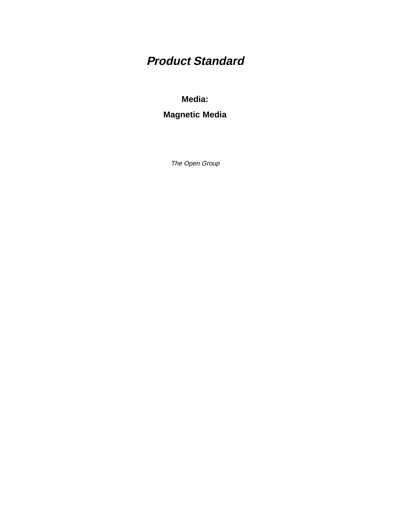# **Product Standard**

**Media:**

**Magnetic Media**

The Open Group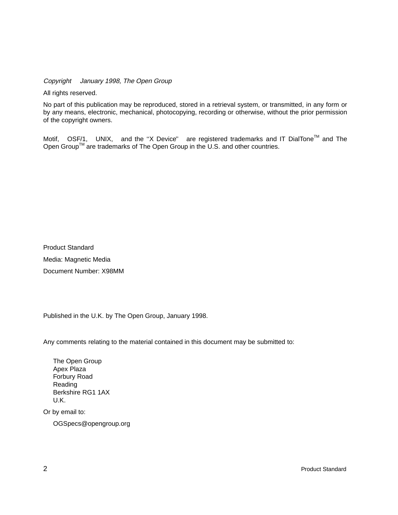Copyright  $\odot$  January 1998, The Open Group

All rights reserved.

No part of this publication may be reproduced, stored in a retrieval system, or transmitted, in any form or by any means, electronic, mechanical, photocopying, recording or otherwise, without the prior permission of the copyright owners.

Motif,  $^{\circledR}$  OSF/1,  $^{\circledR}$  UNIX,  $^{\circledR}$  and the "X Device" $^{\circledR}$  are registered trademarks and IT DialTone<sup>TM</sup> and The Open Group<sup>TM</sup> are trademarks of The Open Group in the U.S. and other countries.

Product Standard Media: Magnetic Media Document Number: X98MM

Published in the U.K. by The Open Group, January 1998.

Any comments relating to the material contained in this document may be submitted to:

The Open Group Apex Plaza Forbury Road Reading Berkshire RG1 1AX U.K.

Or by email to:

OGSpecs@opengroup.org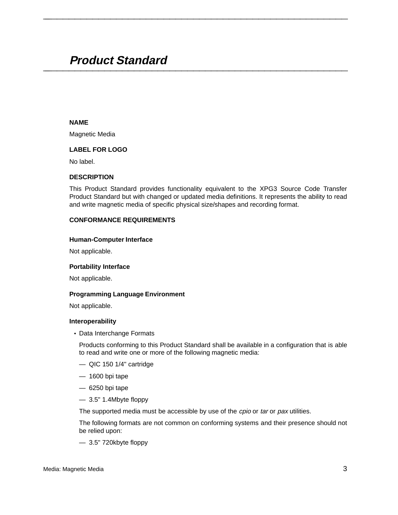# **Product Standard \_\_\_\_\_\_\_\_\_\_\_\_\_\_\_\_\_\_\_\_\_\_\_\_\_\_\_\_\_\_\_\_\_\_\_\_\_\_\_\_\_\_\_\_\_\_\_\_\_\_\_\_**

## **NAME**

Magnetic Media

# **LABEL FOR LOGO**

No label.

#### **DESCRIPTION**

This Product Standard provides functionality equivalent to the XPG3 Source Code Transfer Product Standard but with changed or updated media definitions. It represents the ability to read and write magnetic media of specific physical size/shapes and recording format.

**\_\_\_\_\_\_\_\_\_\_\_\_\_\_\_\_\_\_\_\_\_\_\_\_\_\_\_\_\_\_\_\_\_\_\_\_\_\_\_\_\_\_\_\_\_\_\_\_\_\_\_\_**

#### **CONFORMANCE REQUIREMENTS**

#### **Human-Computer Interface**

Not applicable.

#### **Portability Interface**

Not applicable.

#### **Programming Language Environment**

Not applicable.

#### **Interoperability**

• Data Interchange Formats

Products conforming to this Product Standard shall be available in a configuration that is able to read and write one or more of the following magnetic media:

- QIC 150 1/4" cartridge
- 1600 bpi tape
- 6250 bpi tape
- 3.5" 1.4Mbyte floppy

The supported media must be accessible by use of the cpio or tar or pax utilities.

The following formats are not common on conforming systems and their presence should not be relied upon:

— 3.5" 720kbyte floppy